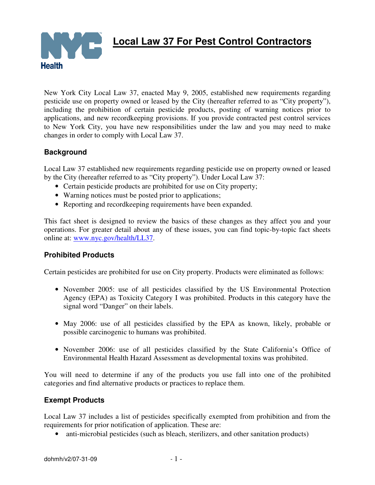

 **Local Law 37 For Pest Control Contractors** 

New York City Local Law 37, enacted May 9, 2005, established new requirements regarding pesticide use on property owned or leased by the City (hereafter referred to as "City property"), including the prohibition of certain pesticide products, posting of warning notices prior to applications, and new recordkeeping provisions. If you provide contracted pest control services to New York City, you have new responsibilities under the law and you may need to make changes in order to comply with Local Law 37.

# **Background**

Local Law 37 established new requirements regarding pesticide use on property owned or leased by the City (hereafter referred to as "City property"). Under Local Law 37:

- Certain pesticide products are prohibited for use on City property;
- Warning notices must be posted prior to applications;
- Reporting and record keeping requirements have been expanded.

This fact sheet is designed to review the basics of these changes as they affect you and your operations. For greater detail about any of these issues, you can find topic-by-topic fact sheets online at: www.nyc.gov/health/LL37.

# **Prohibited Products**

Certain pesticides are prohibited for use on City property. Products were eliminated as follows:

- November 2005: use of all pesticides classified by the US Environmental Protection Agency (EPA) as Toxicity Category I was prohibited. Products in this category have the signal word "Danger" on their labels.
- May 2006: use of all pesticides classified by the EPA as known, likely, probable or possible carcinogenic to humans was prohibited.
- November 2006: use of all pesticides classified by the State California's Office of Environmental Health Hazard Assessment as developmental toxins was prohibited.

You will need to determine if any of the products you use fall into one of the prohibited categories and find alternative products or practices to replace them.

# **Exempt Products**

Local Law 37 includes a list of pesticides specifically exempted from prohibition and from the requirements for prior notification of application. These are:

• anti-microbial pesticides (such as bleach, sterilizers, and other sanitation products)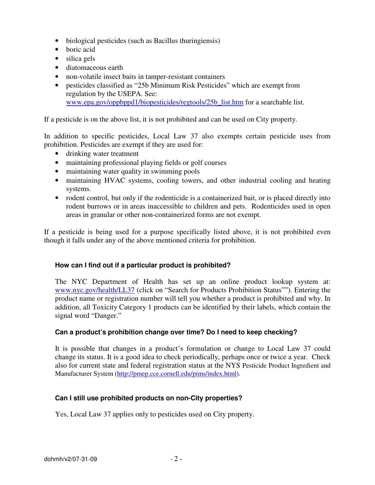- biological pesticides (such as Bacillus thuringiensis)
- boric acid
- silica gels
- diatomaceous earth
- non-volatile insect baits in tamper-resistant containers
- pesticides classified as "25b Minimum Risk Pesticides" which are exempt from regulation by the USEPA. See: www.epa.gov/oppbppd1/biopesticides/regtools/25b\_list.htm for a searchable list.

If a pesticide is on the above list, it is not prohibited and can be used on City property.

In addition to specific pesticides, Local Law 37 also exempts certain pesticide uses from prohibition. Pesticides are exempt if they are used for:

- drinking water treatment
- maintaining professional playing fields or golf courses
- maintaining water quality in swimming pools
- maintaining HVAC systems, cooling towers, and other industrial cooling and heating systems.
- rodent control, but only if the rodenticide is a containerized bait, or is placed directly into rodent burrows or in areas inaccessible to children and pets. Rodenticides used in open areas in granular or other non-containerized forms are not exempt.

If a pesticide is being used for a purpose specifically listed above, it is not prohibited even though it falls under any of the above mentioned criteria for prohibition.

# **How can I find out if a particular product is prohibited?**

The NYC Department of Health has set up an online product lookup system at: www.nyc.gov/health/LL37 (click on "Search for Products Prohibition Status""). Entering the product name or registration number will tell you whether a product is prohibited and why. In addition, all Toxicity Category 1 products can be identified by their labels, which contain the signal word "Danger."

# **Can a product's prohibition change over time? Do I need to keep checking?**

It is possible that changes in a product's formulation or change to Local Law 37 could change its status. It is a good idea to check periodically, perhaps once or twice a year. Check also for current state and federal registration status at the NYS Pesticide Product Ingredient and Manufacturer System (http://pmep.cce.cornell.edu/pims/index.html).

# **Can I still use prohibited products on non-City properties?**

Yes, Local Law 37 applies only to pesticides used on City property.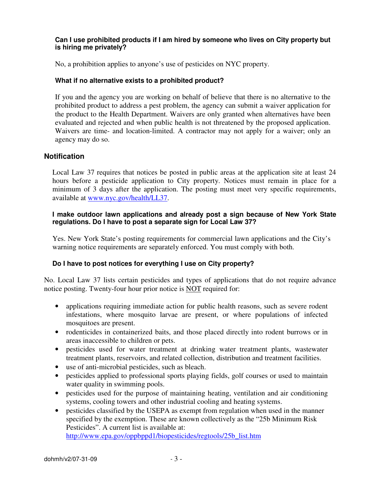### **Can I use prohibited products if I am hired by someone who lives on City property but is hiring me privately?**

No, a prohibition applies to anyone's use of pesticides on NYC property.

## **What if no alternative exists to a prohibited product?**

If you and the agency you are working on behalf of believe that there is no alternative to the prohibited product to address a pest problem, the agency can submit a waiver application for the product to the Health Department. Waivers are only granted when alternatives have been evaluated and rejected and when public health is not threatened by the proposed application. Waivers are time- and location-limited. A contractor may not apply for a waiver; only an agency may do so.

### **Notification**

Local Law 37 requires that notices be posted in public areas at the application site at least 24 hours before a pesticide application to City property. Notices must remain in place for a minimum of 3 days after the application. The posting must meet very specific requirements, available at www.nyc.gov/health/LL37.

#### **I make outdoor lawn applications and already post a sign because of New York State regulations. Do I have to post a separate sign for Local Law 37?**

Yes. New York State's posting requirements for commercial lawn applications and the City's warning notice requirements are separately enforced. You must comply with both.

### **Do I have to post notices for everything I use on City property?**

No. Local Law 37 lists certain pesticides and types of applications that do not require advance notice posting. Twenty-four hour prior notice is NOT required for:

- applications requiring immediate action for public health reasons, such as severe rodent infestations, where mosquito larvae are present, or where populations of infected mosquitoes are present.
- rodenticides in containerized baits, and those placed directly into rodent burrows or in areas inaccessible to children or pets.
- pesticides used for water treatment at drinking water treatment plants, wastewater treatment plants, reservoirs, and related collection, distribution and treatment facilities.
- use of anti-microbial pesticides, such as bleach.
- pesticides applied to professional sports playing fields, golf courses or used to maintain water quality in swimming pools.
- pesticides used for the purpose of maintaining heating, ventilation and air conditioning systems, cooling towers and other industrial cooling and heating systems.
- pesticides classified by the USEPA as exempt from regulation when used in the manner specified by the exemption. These are known collectively as the "25b Minimum Risk Pesticides". A current list is available at: http://www.epa.gov/oppbppd1/biopesticides/regtools/25b\_list.htm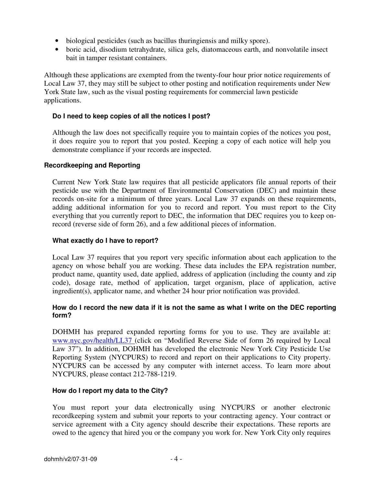- biological pesticides (such as bacillus thuringiensis and milky spore).
- boric acid, disodium tetrahydrate, silica gels, diatomaceous earth, and nonvolatile insect bait in tamper resistant containers.

Although these applications are exempted from the twenty-four hour prior notice requirements of Local Law 37, they may still be subject to other posting and notification requirements under New York State law, such as the visual posting requirements for commercial lawn pesticide applications.

### **Do I need to keep copies of all the notices I post?**

Although the law does not specifically require you to maintain copies of the notices you post, it does require you to report that you posted. Keeping a copy of each notice will help you demonstrate compliance if your records are inspected.

### **Recordkeeping and Reporting**

Current New York State law requires that all pesticide applicators file annual reports of their pesticide use with the Department of Environmental Conservation (DEC) and maintain these records on-site for a minimum of three years. Local Law 37 expands on these requirements, adding additional information for you to record and report. You must report to the City everything that you currently report to DEC, the information that DEC requires you to keep onrecord (reverse side of form 26), and a few additional pieces of information.

#### **What exactly do I have to report?**

Local Law 37 requires that you report very specific information about each application to the agency on whose behalf you are working. These data includes the EPA registration number, product name, quantity used, date applied, address of application (including the county and zip code), dosage rate, method of application, target organism, place of application, active ingredient(s), applicator name, and whether 24 hour prior notification was provided.

### **How do I record the new data if it is not the same as what I write on the DEC reporting form?**

DOHMH has prepared expanded reporting forms for you to use. They are available at: www.nyc.gov/health/LL37 (click on "Modified Reverse Side of form 26 required by Local Law 37"). In addition, DOHMH has developed the electronic New York City Pesticide Use Reporting System (NYCPURS) to record and report on their applications to City property. NYCPURS can be accessed by any computer with internet access. To learn more about NYCPURS, please contact 212-788-1219.

### **How do I report my data to the City?**

You must report your data electronically using NYCPURS or another electronic recordkeeping system and submit your reports to your contracting agency. Your contract or service agreement with a City agency should describe their expectations. These reports are owed to the agency that hired you or the company you work for. New York City only requires